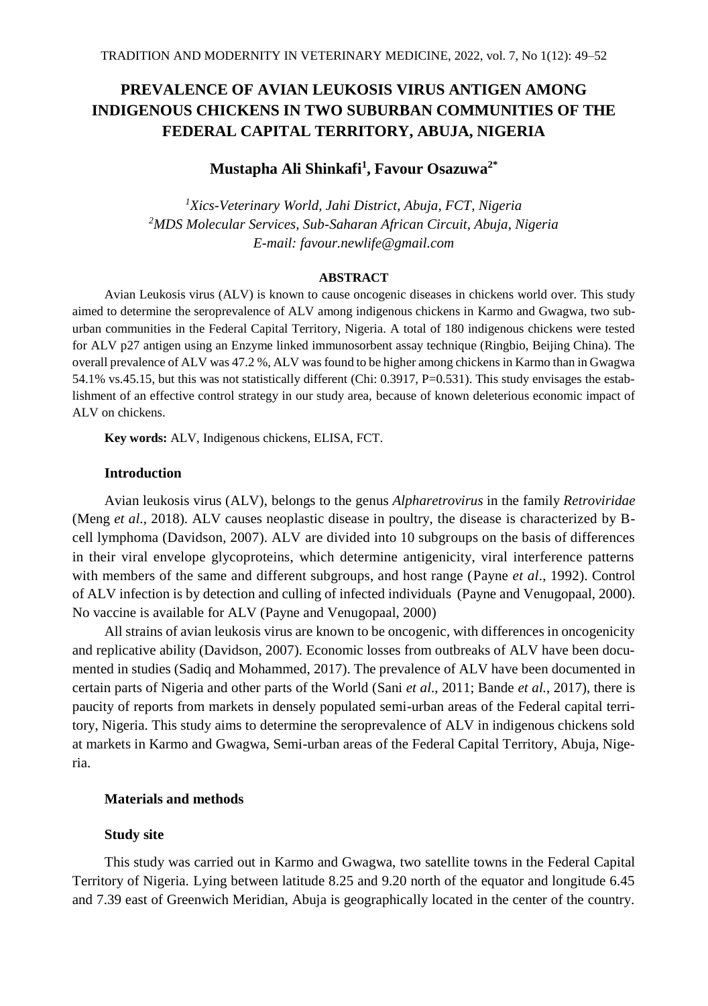# **PREVALENCE OF AVIAN LEUKOSIS VIRUS ANTIGEN AMONG INDIGENOUS CHICKENS IN TWO SUBURBAN COMMUNITIES OF THE FEDERAL CAPITAL TERRITORY, ABUJA, NIGERIA**

## **Mustapha Ali Shinkafi<sup>1</sup> , Favour Osazuwa2\***

*<sup>1</sup>Xics-Veterinary World, Jahi District, Abuja, FCT, Nigeria <sup>2</sup>MDS Molecular Services, Sub-Saharan African Circuit, Abuja, Nigeria E-mail: favour.newlife@gmail.com*

#### **ABSTRACT**

Avian Leukosis virus (ALV) is known to cause oncogenic diseases in chickens world over. This study aimed to determine the seroprevalence of ALV among indigenous chickens in Karmo and Gwagwa, two suburban communities in the Federal Capital Territory, Nigeria. A total of 180 indigenous chickens were tested for ALV p27 antigen using an Enzyme linked immunosorbent assay technique (Ringbio, Beijing China). The overall prevalence of ALV was 47.2 %, ALV was found to be higher among chickens in Karmo than in Gwagwa 54.1% vs.45.15, but this was not statistically different (Chi: 0.3917, P=0.531). This study envisages the establishment of an effective control strategy in our study area, because of known deleterious economic impact of ALV on chickens.

**Key words:** ALV, Indigenous chickens, ELISA, FCT.

## **Introduction**

Avian leukosis virus (ALV), belongs to the genus *Alpharetrovirus* in the family *Retroviridae* (Meng *et al*., 2018). ALV causes neoplastic disease in poultry, the disease is characterized by Bcell lymphoma (Davidson, 2007). ALV are divided into 10 subgroups on the basis of differences in their viral envelope glycoproteins, which determine antigenicity, viral interference patterns with members of the same and different subgroups, and host range (Payne *et al*., 1992). Control of ALV infection is by detection and culling of infected individuals (Payne and Venugopaal, 2000). No vaccine is available for ALV (Payne and Venugopaal, 2000)

All strains of avian leukosis virus are known to be oncogenic, with differences in oncogenicity and replicative ability (Davidson, 2007). Economic losses from outbreaks of ALV have been documented in studies (Sadiq and Mohammed, 2017). The prevalence of ALV have been documented in certain parts of Nigeria and other parts of the World (Sani *et al*., 2011; Bande *et al.*, 2017), there is paucity of reports from markets in densely populated semi-urban areas of the Federal capital territory, Nigeria. This study aims to determine the seroprevalence of ALV in indigenous chickens sold at markets in Karmo and Gwagwa, Semi-urban areas of the Federal Capital Territory, Abuja, Nigeria.

## **Materials and methods**

#### **Study site**

This study was carried out in Karmo and Gwagwa, two satellite towns in the Federal Capital Territory of Nigeria. Lying between latitude 8.25 and 9.20 north of the equator and longitude 6.45 and 7.39 east of Greenwich Meridian, Abuja is geographically located in the center of the country.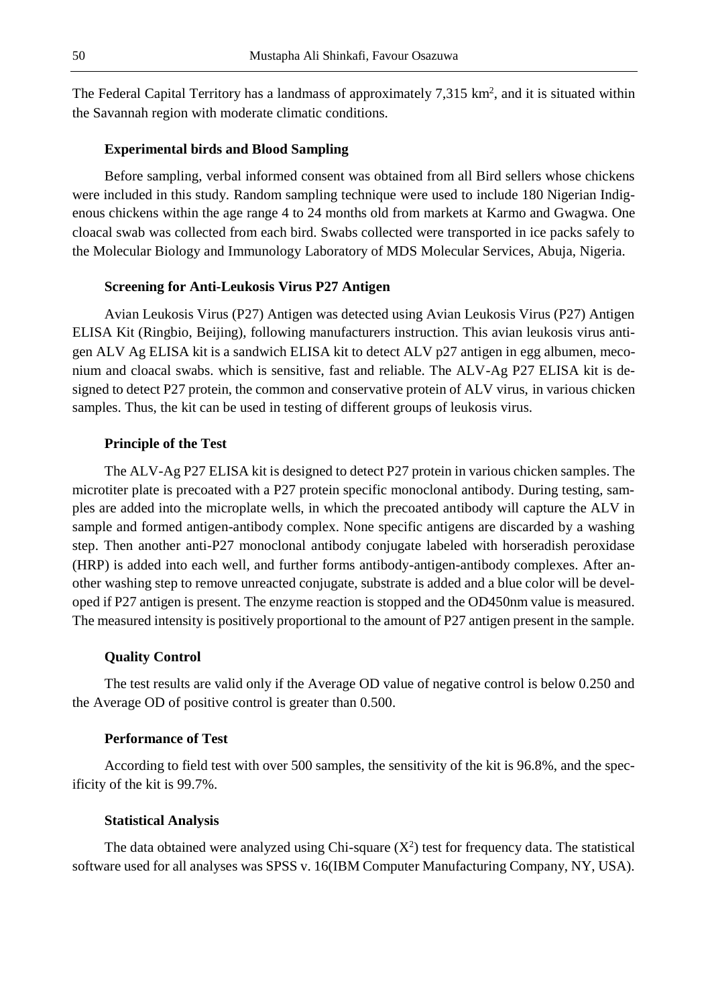The Federal Capital Territory has a landmass of approximately  $7,315 \text{ km}^2$ , and it is situated within the Savannah region with moderate climatic conditions.

## **Experimental birds and Blood Sampling**

Before sampling, verbal informed consent was obtained from all Bird sellers whose chickens were included in this study. Random sampling technique were used to include 180 Nigerian Indigenous chickens within the age range 4 to 24 months old from markets at Karmo and Gwagwa. One cloacal swab was collected from each bird. Swabs collected were transported in ice packs safely to the Molecular Biology and Immunology Laboratory of MDS Molecular Services, Abuja, Nigeria.

### **Screening for Anti-Leukosis Virus P27 Antigen**

Avian Leukosis Virus (P27) Antigen was detected using Avian Leukosis Virus (P27) Antigen ELISA Kit (Ringbio, Beijing), following manufacturers instruction. This avian leukosis virus antigen ALV Ag ELISA kit is a sandwich ELISA kit to detect ALV p27 antigen in egg albumen, meconium and cloacal swabs. which is sensitive, fast and reliable. The ALV-Ag P27 ELISA kit is designed to detect P27 protein, the common and conservative protein of ALV virus, in various chicken samples. Thus, the kit can be used in testing of different groups of leukosis virus.

#### **Principle of the Test**

The ALV-Ag P27 ELISA kit is designed to detect P27 protein in various chicken samples. The microtiter plate is precoated with a P27 protein specific monoclonal antibody. During testing, samples are added into the microplate wells, in which the precoated antibody will capture the ALV in sample and formed antigen-antibody complex. None specific antigens are discarded by a washing step. Then another anti-P27 monoclonal antibody conjugate labeled with horseradish peroxidase (HRP) is added into each well, and further forms antibody-antigen-antibody complexes. After another washing step to remove unreacted conjugate, substrate is added and a blue color will be developed if P27 antigen is present. The enzyme reaction is stopped and the OD450nm value is measured. The measured intensity is positively proportional to the amount of P27 antigen present in the sample.

#### **Quality Control**

The test results are valid only if the Average OD value of negative control is below 0.250 and the Average OD of positive control is greater than 0.500.

## **Performance of Test**

According to field test with over 500 samples, the sensitivity of the kit is 96.8%, and the specificity of the kit is 99.7%.

#### **Statistical Analysis**

The data obtained were analyzed using Chi-square  $(X^2)$  test for frequency data. The statistical software used for all analyses was SPSS v. 16(IBM Computer Manufacturing Company, NY, USA).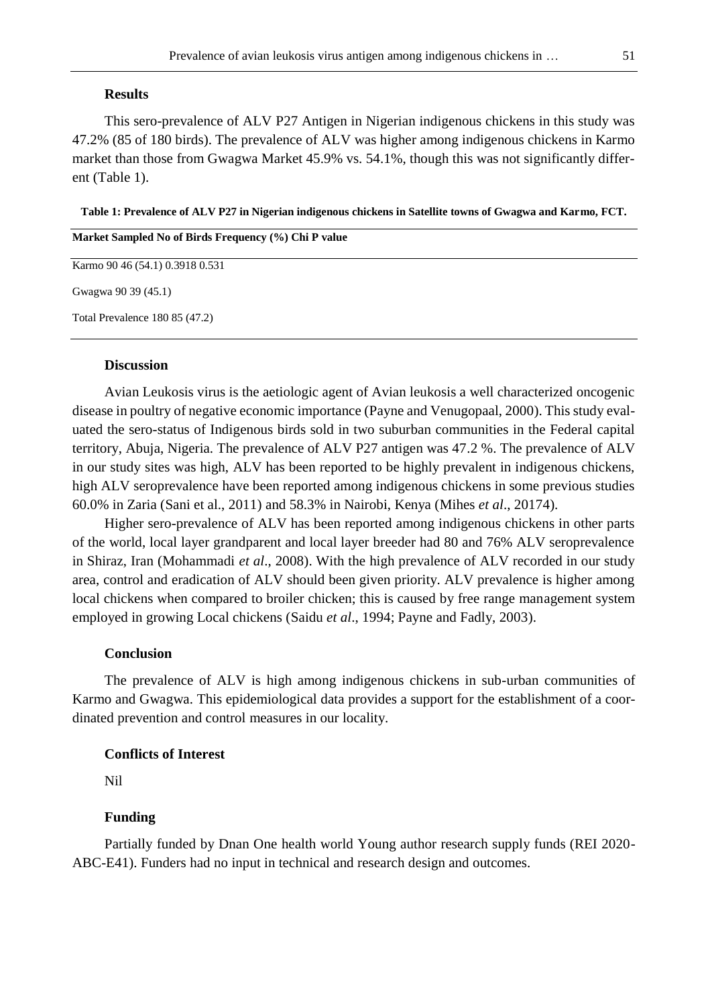## **Results**

This sero-prevalence of ALV P27 Antigen in Nigerian indigenous chickens in this study was 47.2% (85 of 180 birds). The prevalence of ALV was higher among indigenous chickens in Karmo market than those from Gwagwa Market 45.9% vs. 54.1%, though this was not significantly different (Table 1).

**Table 1: Prevalence of ALV P27 in Nigerian indigenous chickens in Satellite towns of Gwagwa and Karmo, FCT.**

| Market Sampled No of Birds Frequency (%) Chi P value |  |
|------------------------------------------------------|--|
| Karmo 90 46 (54.1) 0.3918 0.531                      |  |
| Gwagwa 90 39 (45.1)                                  |  |
| Total Prevalence 180 85 (47.2)                       |  |

## **Discussion**

Avian Leukosis virus is the aetiologic agent of Avian leukosis a well characterized oncogenic disease in poultry of negative economic importance (Payne and Venugopaal, 2000). This study evaluated the sero-status of Indigenous birds sold in two suburban communities in the Federal capital territory, Abuja, Nigeria. The prevalence of ALV P27 antigen was 47.2 %. The prevalence of ALV in our study sites was high, ALV has been reported to be highly prevalent in indigenous chickens, high ALV seroprevalence have been reported among indigenous chickens in some previous studies 60.0% in Zaria (Sani et al., 2011) and 58.3% in Nairobi, Kenya (Mihes *et al*., 20174).

Higher sero-prevalence of ALV has been reported among indigenous chickens in other parts of the world, local layer grandparent and local layer breeder had 80 and 76% ALV seroprevalence in Shiraz, Iran (Mohammadi *et al*., 2008). With the high prevalence of ALV recorded in our study area, control and eradication of ALV should been given priority. ALV prevalence is higher among local chickens when compared to broiler chicken; this is caused by free range management system employed in growing Local chickens (Saidu *et al*., 1994; Payne and Fadly, 2003).

#### **Conclusion**

The prevalence of ALV is high among indigenous chickens in sub-urban communities of Karmo and Gwagwa. This epidemiological data provides a support for the establishment of a coordinated prevention and control measures in our locality.

## **Conflicts of Interest**

Nil

#### **Funding**

Partially funded by Dnan One health world Young author research supply funds (REI 2020- ABC-E41). Funders had no input in technical and research design and outcomes.